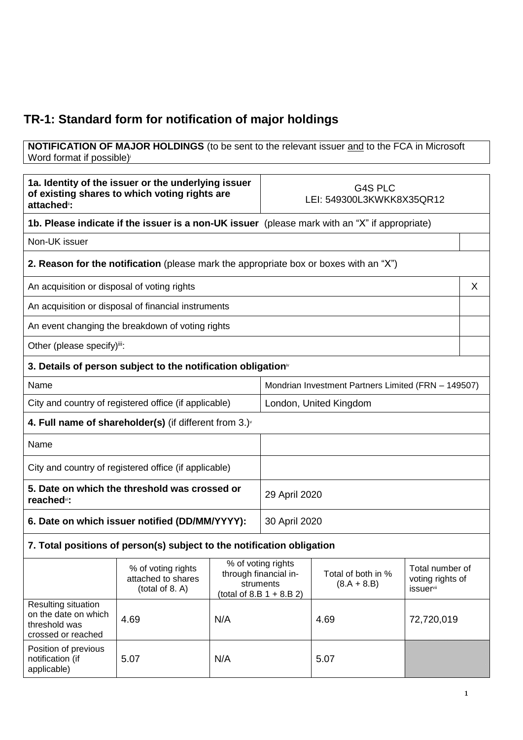## **TR-1: Standard form for notification of major holdings**

## **NOTIFICATION OF MAJOR HOLDINGS** (to be sent to the relevant issuer and to the FCA in Microsoft Word format if possible)

| 1a. Identity of the issuer or the underlying issuer<br>of existing shares to which voting rights are<br>attached <sup>"</sup> : |                                                                          | G4S PLC<br>LEI: 549300L3KWKK8X35QR12 |                                                                                         |                                     |                                                                     |   |
|---------------------------------------------------------------------------------------------------------------------------------|--------------------------------------------------------------------------|--------------------------------------|-----------------------------------------------------------------------------------------|-------------------------------------|---------------------------------------------------------------------|---|
| 1b. Please indicate if the issuer is a non-UK issuer (please mark with an "X" if appropriate)                                   |                                                                          |                                      |                                                                                         |                                     |                                                                     |   |
| Non-UK issuer                                                                                                                   |                                                                          |                                      |                                                                                         |                                     |                                                                     |   |
| <b>2. Reason for the notification</b> (please mark the appropriate box or boxes with an "X")                                    |                                                                          |                                      |                                                                                         |                                     |                                                                     |   |
| An acquisition or disposal of voting rights                                                                                     |                                                                          |                                      |                                                                                         |                                     |                                                                     | X |
|                                                                                                                                 | An acquisition or disposal of financial instruments                      |                                      |                                                                                         |                                     |                                                                     |   |
|                                                                                                                                 | An event changing the breakdown of voting rights                         |                                      |                                                                                         |                                     |                                                                     |   |
| Other (please specify)iii:                                                                                                      |                                                                          |                                      |                                                                                         |                                     |                                                                     |   |
|                                                                                                                                 | 3. Details of person subject to the notification obligation <sup>®</sup> |                                      |                                                                                         |                                     |                                                                     |   |
| Name                                                                                                                            |                                                                          |                                      | Mondrian Investment Partners Limited (FRN - 149507)                                     |                                     |                                                                     |   |
|                                                                                                                                 | City and country of registered office (if applicable)                    |                                      | London, United Kingdom                                                                  |                                     |                                                                     |   |
|                                                                                                                                 | 4. Full name of shareholder(s) (if different from $3.$ ) $\sqrt{ }$      |                                      |                                                                                         |                                     |                                                                     |   |
| Name                                                                                                                            |                                                                          |                                      |                                                                                         |                                     |                                                                     |   |
| City and country of registered office (if applicable)                                                                           |                                                                          |                                      |                                                                                         |                                     |                                                                     |   |
| 5. Date on which the threshold was crossed or<br>reached <sup>vi</sup> :                                                        |                                                                          |                                      | 29 April 2020                                                                           |                                     |                                                                     |   |
| 6. Date on which issuer notified (DD/MM/YYYY):                                                                                  |                                                                          |                                      | 30 April 2020                                                                           |                                     |                                                                     |   |
| 7. Total positions of person(s) subject to the notification obligation                                                          |                                                                          |                                      |                                                                                         |                                     |                                                                     |   |
|                                                                                                                                 | % of voting rights<br>attached to shares<br>(total of 8. A)              |                                      | % of voting rights<br>through financial in-<br>struments<br>(total of 8.B $1 + 8.B 2$ ) | Total of both in %<br>$(8.A + 8.B)$ | Total number of<br>voting rights of<br><i>issuer</i> <sup>vii</sup> |   |
| Resulting situation<br>on the date on which<br>threshold was<br>crossed or reached                                              | 4.69                                                                     | N/A                                  |                                                                                         | 4.69                                | 72,720,019                                                          |   |
| Position of previous<br>notification (if<br>applicable)                                                                         | 5.07                                                                     | N/A                                  |                                                                                         | 5.07                                |                                                                     |   |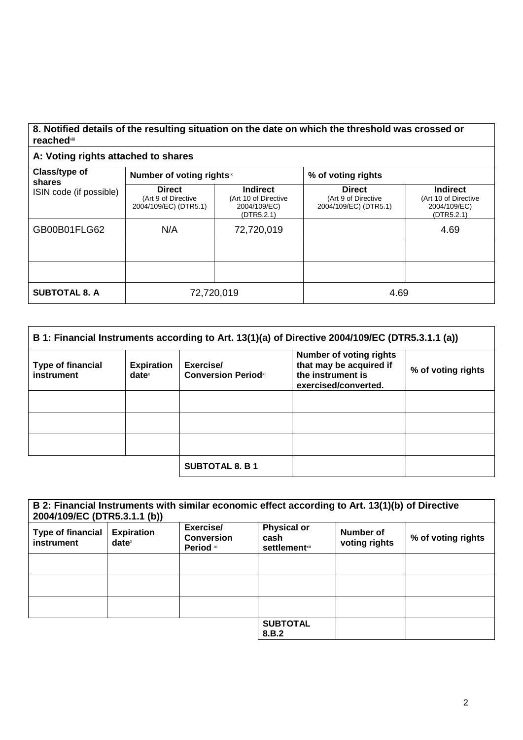## **8. Notified details of the resulting situation on the date on which the threshold was crossed or reached**viii

## **A: Voting rights attached to shares**

| Class/type of<br>shares<br>ISIN code (if possible) | Number of voting rightsix                                     |                                                                       | % of voting rights                                            |                                                                       |  |
|----------------------------------------------------|---------------------------------------------------------------|-----------------------------------------------------------------------|---------------------------------------------------------------|-----------------------------------------------------------------------|--|
|                                                    | <b>Direct</b><br>(Art 9 of Directive<br>2004/109/EC) (DTR5.1) | <b>Indirect</b><br>(Art 10 of Directive<br>2004/109/EC)<br>(DTR5.2.1) | <b>Direct</b><br>(Art 9 of Directive<br>2004/109/EC) (DTR5.1) | <b>Indirect</b><br>(Art 10 of Directive<br>2004/109/EC)<br>(DTR5.2.1) |  |
| GB00B01FLG62                                       | N/A                                                           | 72,720,019                                                            |                                                               | 4.69                                                                  |  |
|                                                    |                                                               |                                                                       |                                                               |                                                                       |  |
|                                                    |                                                               |                                                                       |                                                               |                                                                       |  |
| <b>SUBTOTAL 8. A</b>                               | 72,720,019                                                    |                                                                       | 4.69                                                          |                                                                       |  |

| B 1: Financial Instruments according to Art. 13(1)(a) of Directive 2004/109/EC (DTR5.3.1.1 (a)) |                                      |                                         |                                                                                                        |                    |
|-------------------------------------------------------------------------------------------------|--------------------------------------|-----------------------------------------|--------------------------------------------------------------------------------------------------------|--------------------|
| <b>Type of financial</b><br>instrument                                                          | <b>Expiration</b><br>$date^{\times}$ | Exercise/<br><b>Conversion Periodxi</b> | <b>Number of voting rights</b><br>that may be acquired if<br>the instrument is<br>exercised/converted. | % of voting rights |
|                                                                                                 |                                      |                                         |                                                                                                        |                    |
|                                                                                                 |                                      |                                         |                                                                                                        |                    |
|                                                                                                 |                                      |                                         |                                                                                                        |                    |
|                                                                                                 |                                      | <b>SUBTOTAL 8. B 1</b>                  |                                                                                                        |                    |

| 2004/109/EC (DTR5.3.1.1 (b))           |                               |                                             | B 2: Financial Instruments with similar economic effect according to Art. 13(1)(b) of Directive |                            |                    |
|----------------------------------------|-------------------------------|---------------------------------------------|-------------------------------------------------------------------------------------------------|----------------------------|--------------------|
| <b>Type of financial</b><br>instrument | <b>Expiration</b><br>$date^x$ | Exercise/<br><b>Conversion</b><br>Period xi | <b>Physical or</b><br>cash<br><b>settlement</b> <sup>xii</sup>                                  | Number of<br>voting rights | % of voting rights |
|                                        |                               |                                             |                                                                                                 |                            |                    |
|                                        |                               |                                             |                                                                                                 |                            |                    |
|                                        |                               |                                             |                                                                                                 |                            |                    |
|                                        |                               |                                             | <b>SUBTOTAL</b><br>8.B.2                                                                        |                            |                    |